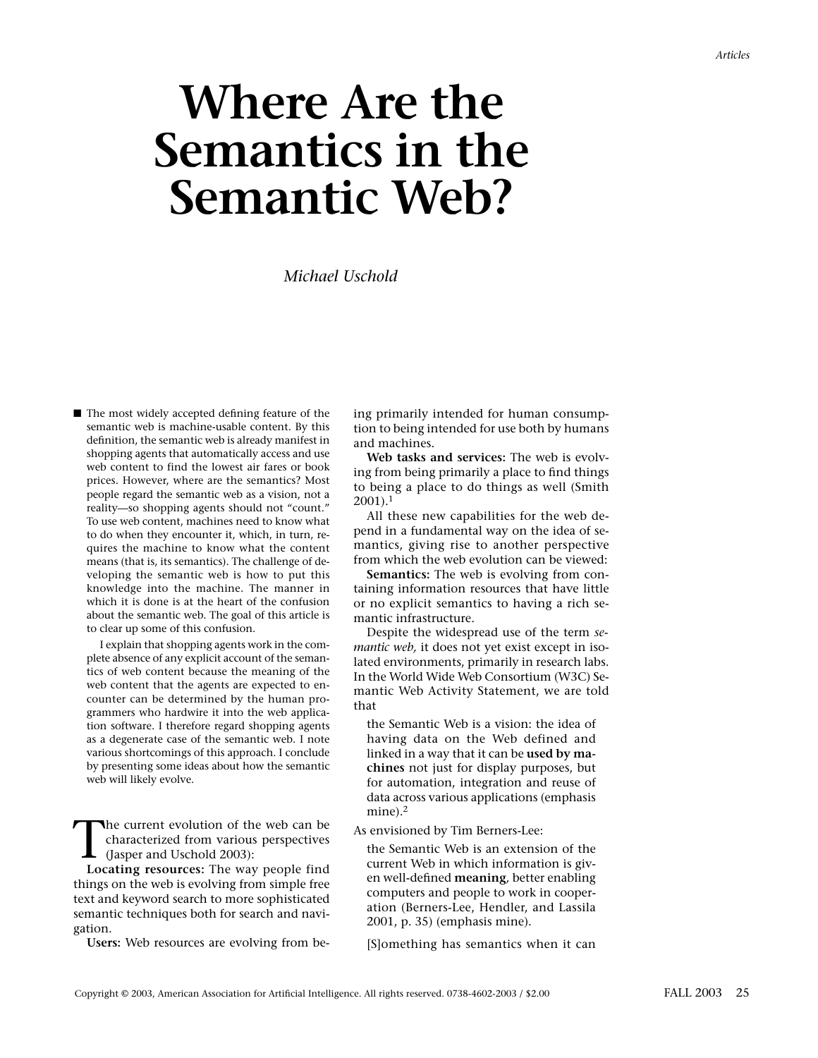# **Where Are the Semantics in the Semantic Web?**

*Michael Uschold*

■ The most widely accepted defining feature of the semantic web is machine-usable content. By this definition, the semantic web is already manifest in shopping agents that automatically access and use web content to find the lowest air fares or book prices. However, where are the semantics? Most people regard the semantic web as a vision, not a reality—so shopping agents should not "count." To use web content, machines need to know what to do when they encounter it, which, in turn, requires the machine to know what the content means (that is, its semantics). The challenge of developing the semantic web is how to put this knowledge into the machine. The manner in which it is done is at the heart of the confusion about the semantic web. The goal of this article is to clear up some of this confusion.

I explain that shopping agents work in the complete absence of any explicit account of the semantics of web content because the meaning of the web content that the agents are expected to encounter can be determined by the human programmers who hardwire it into the web application software. I therefore regard shopping agents as a degenerate case of the semantic web. I note various shortcomings of this approach. I conclude by presenting some ideas about how the semantic web will likely evolve.

The current evolution of the web can be<br>characterized from various perspectives<br>(Jasper and Uschold 2003):<br>Locating resources: The way people find characterized from various perspectives **L** (Jasper and Uschold 2003):

**Locating resources:** The way people find things on the web is evolving from simple free text and keyword search to more sophisticated semantic techniques both for search and navigation.

**Users:** Web resources are evolving from be-

ing primarily intended for human consumption to being intended for use both by humans and machines.

**Web tasks and services:** The web is evolving from being primarily a place to find things to being a place to do things as well (Smith  $2001$ ).<sup>1</sup>

All these new capabilities for the web depend in a fundamental way on the idea of semantics, giving rise to another perspective from which the web evolution can be viewed:

**Semantics:** The web is evolving from containing information resources that have little or no explicit semantics to having a rich semantic infrastructure.

Despite the widespread use of the term *semantic web,* it does not yet exist except in isolated environments, primarily in research labs. In the World Wide Web Consortium (W3C) Semantic Web Activity Statement, we are told that

the Semantic Web is a vision: the idea of having data on the Web defined and linked in a way that it can be **used by machines** not just for display purposes, but for automation, integration and reuse of data across various applications (emphasis mine).<sup>2</sup>

As envisioned by Tim Berners-Lee:

the Semantic Web is an extension of the current Web in which information is given well-defined **meaning***,* better enabling computers and people to work in cooperation (Berners-Lee, Hendler, and Lassila 2001, p. 35) (emphasis mine).

[S]omething has semantics when it can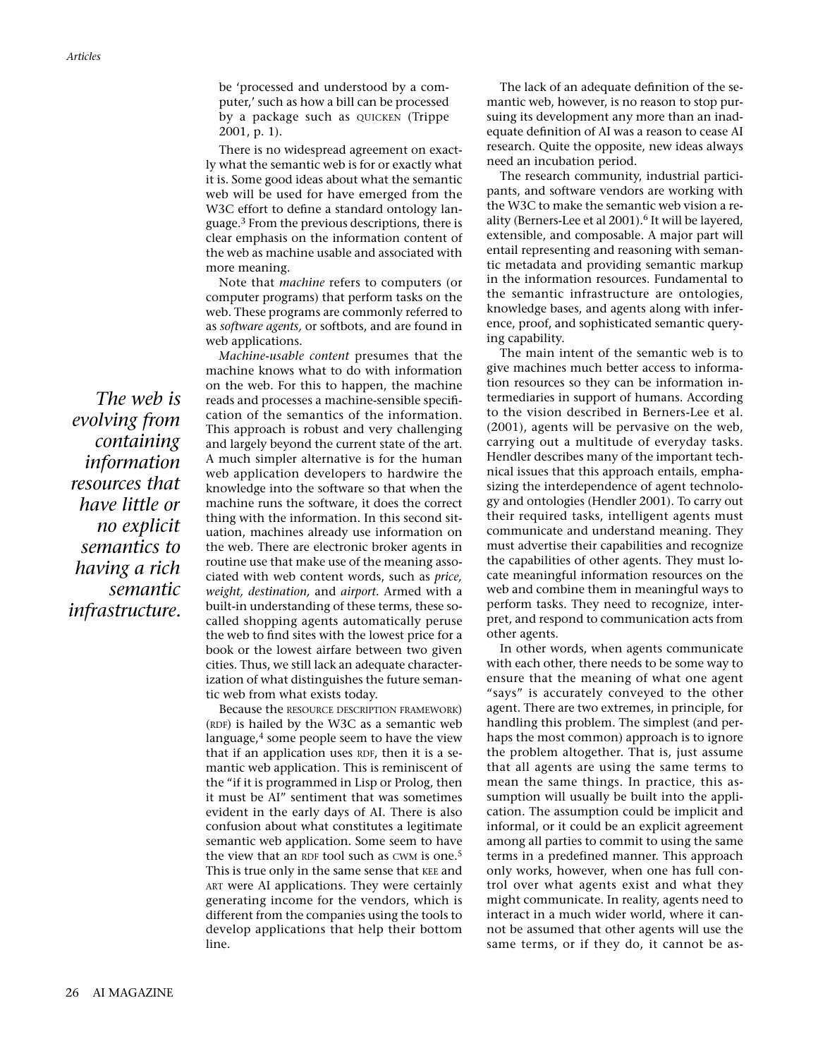be 'processed and understood by a computer,' such as how a bill can be processed by a package such as QUICKEN (Trippe 2001, p. 1).

There is no widespread agreement on exactly what the semantic web is for or exactly what it is. Some good ideas about what the semantic web will be used for have emerged from the W3C effort to define a standard ontology language.<sup>3</sup> From the previous descriptions, there is clear emphasis on the information content of the web as machine usable and associated with more meaning.

Note that *machine* refers to computers (or computer programs) that perform tasks on the web. These programs are commonly referred to as *software agents,* or softbots, and are found in web applications.

*Machine-usable content* presumes that the machine knows what to do with information on the web. For this to happen, the machine reads and processes a machine-sensible specification of the semantics of the information. This approach is robust and very challenging and largely beyond the current state of the art. A much simpler alternative is for the human web application developers to hardwire the knowledge into the software so that when the machine runs the software, it does the correct thing with the information. In this second situation, machines already use information on the web. There are electronic broker agents in routine use that make use of the meaning associated with web content words, such as *price, weight, destination,* and *airport.* Armed with a built-in understanding of these terms, these socalled shopping agents automatically peruse the web to find sites with the lowest price for a book or the lowest airfare between two given cities. Thus, we still lack an adequate characterization of what distinguishes the future semantic web from what exists today.

Because the RESOURCE DESCRIPTION FRAMEWORK) (RDF) is hailed by the W3C as a semantic web language,<sup>4</sup> some people seem to have the view that if an application uses RDF, then it is a semantic web application. This is reminiscent of the "if it is programmed in Lisp or Prolog, then it must be AI" sentiment that was sometimes evident in the early days of AI. There is also confusion about what constitutes a legitimate semantic web application. Some seem to have the view that an RDF tool such as CWM is one.<sup>5</sup> This is true only in the same sense that KEE and ART were AI applications. They were certainly generating income for the vendors, which is different from the companies using the tools to develop applications that help their bottom line.

The lack of an adequate definition of the semantic web, however, is no reason to stop pursuing its development any more than an inadequate definition of AI was a reason to cease AI research. Quite the opposite, new ideas always need an incubation period.

The research community, industrial participants, and software vendors are working with the W3C to make the semantic web vision a reality (Berners-Lee et al 2001).<sup>6</sup> It will be layered, extensible, and composable. A major part will entail representing and reasoning with semantic metadata and providing semantic markup in the information resources. Fundamental to the semantic infrastructure are ontologies, knowledge bases, and agents along with inference, proof, and sophisticated semantic querying capability.

The main intent of the semantic web is to give machines much better access to information resources so they can be information intermediaries in support of humans. According to the vision described in Berners-Lee et al. (2001), agents will be pervasive on the web, carrying out a multitude of everyday tasks. Hendler describes many of the important technical issues that this approach entails, emphasizing the interdependence of agent technology and ontologies (Hendler 2001). To carry out their required tasks, intelligent agents must communicate and understand meaning. They must advertise their capabilities and recognize the capabilities of other agents. They must locate meaningful information resources on the web and combine them in meaningful ways to perform tasks. They need to recognize, interpret, and respond to communication acts from other agents.

In other words, when agents communicate with each other, there needs to be some way to ensure that the meaning of what one agent "says" is accurately conveyed to the other agent. There are two extremes, in principle, for handling this problem. The simplest (and perhaps the most common) approach is to ignore the problem altogether. That is, just assume that all agents are using the same terms to mean the same things. In practice, this assumption will usually be built into the application. The assumption could be implicit and informal, or it could be an explicit agreement among all parties to commit to using the same terms in a predefined manner. This approach only works, however, when one has full control over what agents exist and what they might communicate. In reality, agents need to interact in a much wider world, where it cannot be assumed that other agents will use the same terms, or if they do, it cannot be as-

*The web is evolving from containing information resources that have little or no explicit semantics to having a rich semantic infrastructure.*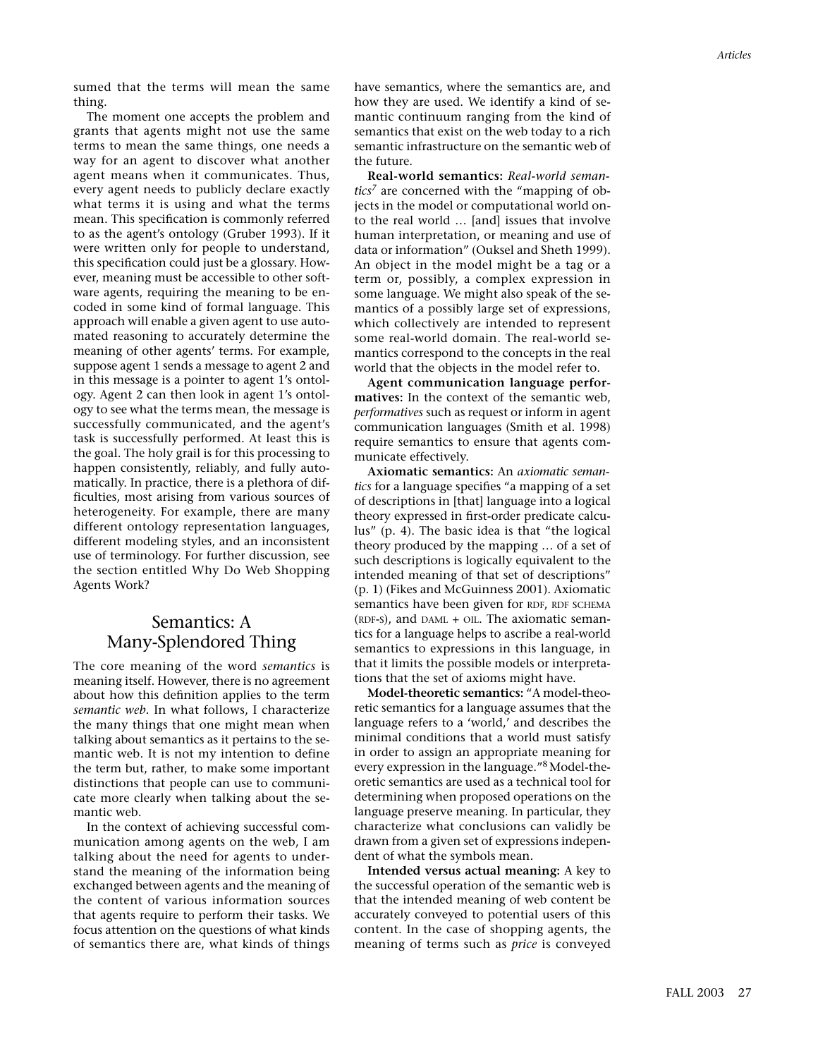sumed that the terms will mean the same thing.

The moment one accepts the problem and grants that agents might not use the same terms to mean the same things, one needs a way for an agent to discover what another agent means when it communicates. Thus, every agent needs to publicly declare exactly what terms it is using and what the terms mean. This specification is commonly referred to as the agent's ontology (Gruber 1993). If it were written only for people to understand, this specification could just be a glossary. However, meaning must be accessible to other software agents, requiring the meaning to be encoded in some kind of formal language. This approach will enable a given agent to use automated reasoning to accurately determine the meaning of other agents' terms. For example, suppose agent 1 sends a message to agent 2 and in this message is a pointer to agent 1's ontology. Agent 2 can then look in agent 1's ontology to see what the terms mean, the message is successfully communicated, and the agent's task is successfully performed. At least this is the goal. The holy grail is for this processing to happen consistently, reliably, and fully automatically. In practice, there is a plethora of difficulties, most arising from various sources of heterogeneity. For example, there are many different ontology representation languages, different modeling styles, and an inconsistent use of terminology. For further discussion, see the section entitled Why Do Web Shopping Agents Work?

# Semantics: A Many-Splendored Thing

The core meaning of the word *semantics* is meaning itself. However, there is no agreement about how this definition applies to the term *semantic web.* In what follows, I characterize the many things that one might mean when talking about semantics as it pertains to the semantic web. It is not my intention to define the term but, rather, to make some important distinctions that people can use to communicate more clearly when talking about the semantic web.

In the context of achieving successful communication among agents on the web, I am talking about the need for agents to understand the meaning of the information being exchanged between agents and the meaning of the content of various information sources that agents require to perform their tasks. We focus attention on the questions of what kinds of semantics there are, what kinds of things have semantics, where the semantics are, and how they are used. We identify a kind of semantic continuum ranging from the kind of semantics that exist on the web today to a rich semantic infrastructure on the semantic web of the future.

**Real-world semantics:** *Real-world semantics<sup>7</sup>* are concerned with the "mapping of objects in the model or computational world onto the real world … [and] issues that involve human interpretation, or meaning and use of data or information" (Ouksel and Sheth 1999). An object in the model might be a tag or a term or, possibly, a complex expression in some language. We might also speak of the semantics of a possibly large set of expressions, which collectively are intended to represent some real-world domain. The real-world semantics correspond to the concepts in the real world that the objects in the model refer to.

**Agent communication language performatives:** In the context of the semantic web, *performatives* such as request or inform in agent communication languages (Smith et al. 1998) require semantics to ensure that agents communicate effectively.

**Axiomatic semantics:** An *axiomatic semantics* for a language specifies "a mapping of a set of descriptions in [that] language into a logical theory expressed in first-order predicate calculus" (p. 4). The basic idea is that "the logical theory produced by the mapping … of a set of such descriptions is logically equivalent to the intended meaning of that set of descriptions" (p. 1) (Fikes and McGuinness 2001). Axiomatic semantics have been given for RDF, RDF SCHEMA (RDF-S), and DAML + OIL. The axiomatic semantics for a language helps to ascribe a real-world semantics to expressions in this language, in that it limits the possible models or interpretations that the set of axioms might have.

**Model-theoretic semantics:** "A model-theoretic semantics for a language assumes that the language refers to a 'world,' and describes the minimal conditions that a world must satisfy in order to assign an appropriate meaning for every expression in the language."8 Model-theoretic semantics are used as a technical tool for determining when proposed operations on the language preserve meaning. In particular, they characterize what conclusions can validly be drawn from a given set of expressions independent of what the symbols mean.

**Intended versus actual meaning:** A key to the successful operation of the semantic web is that the intended meaning of web content be accurately conveyed to potential users of this content. In the case of shopping agents, the meaning of terms such as *price* is conveyed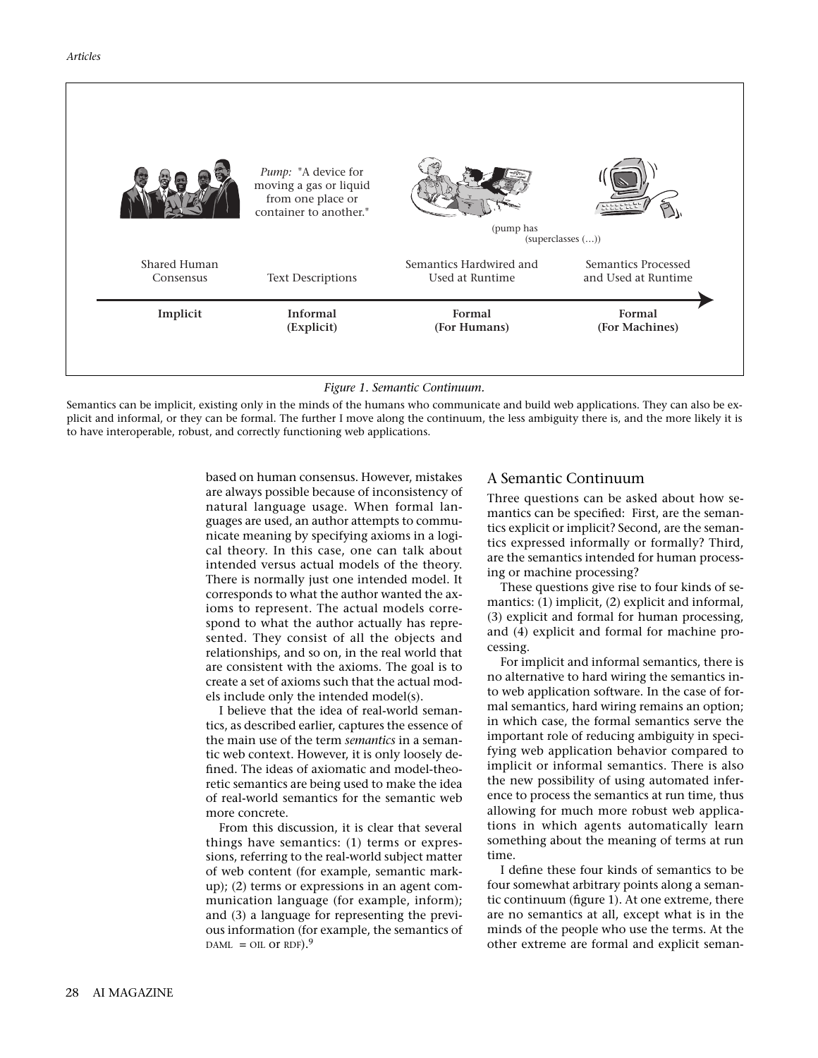| Implicit     | <b>Informal</b>                                                                              | Formal                  | Formal               |
|--------------|----------------------------------------------------------------------------------------------|-------------------------|----------------------|
|              | (Explicit)                                                                                   | (For Humans)            | (For Machines)       |
| Shared Human | <b>Text Descriptions</b>                                                                     | Semantics Hardwired and | Semantics Processed  |
| Consensus    |                                                                                              | Used at Runtime         | and Used at Runtime  |
|              | Pump: "A device for<br>moving a gas or liquid<br>from one place or<br>container to another." | (pump has               | $(superclasses$ $()$ |

*Figure 1. Semantic Continuum.*

Semantics can be implicit, existing only in the minds of the humans who communicate and build web applications. They can also be explicit and informal, or they can be formal. The further I move along the continuum, the less ambiguity there is, and the more likely it is to have interoperable, robust, and correctly functioning web applications.

> based on human consensus. However, mistakes are always possible because of inconsistency of natural language usage. When formal languages are used, an author attempts to communicate meaning by specifying axioms in a logical theory. In this case, one can talk about intended versus actual models of the theory. There is normally just one intended model. It corresponds to what the author wanted the axioms to represent. The actual models correspond to what the author actually has represented. They consist of all the objects and relationships, and so on, in the real world that are consistent with the axioms. The goal is to create a set of axioms such that the actual models include only the intended model(s).

I believe that the idea of real-world semantics, as described earlier, captures the essence of the main use of the term *semantics* in a semantic web context. However, it is only loosely defined. The ideas of axiomatic and model-theoretic semantics are being used to make the idea of real-world semantics for the semantic web more concrete.

From this discussion, it is clear that several things have semantics: (1) terms or expressions, referring to the real-world subject matter of web content (for example, semantic markup); (2) terms or expressions in an agent communication language (for example, inform); and (3) a language for representing the previous information (for example, the semantics of DAML = OIL OT RDF).<sup>9</sup>

### A Semantic Continuum

Three questions can be asked about how semantics can be specified: First, are the semantics explicit or implicit? Second, are the semantics expressed informally or formally? Third, are the semantics intended for human processing or machine processing?

These questions give rise to four kinds of semantics: (1) implicit, (2) explicit and informal, (3) explicit and formal for human processing, and (4) explicit and formal for machine processing.

For implicit and informal semantics, there is no alternative to hard wiring the semantics into web application software. In the case of formal semantics, hard wiring remains an option; in which case, the formal semantics serve the important role of reducing ambiguity in specifying web application behavior compared to implicit or informal semantics. There is also the new possibility of using automated inference to process the semantics at run time, thus allowing for much more robust web applications in which agents automatically learn something about the meaning of terms at run time.

I define these four kinds of semantics to be four somewhat arbitrary points along a semantic continuum (figure 1). At one extreme, there are no semantics at all, except what is in the minds of the people who use the terms. At the other extreme are formal and explicit seman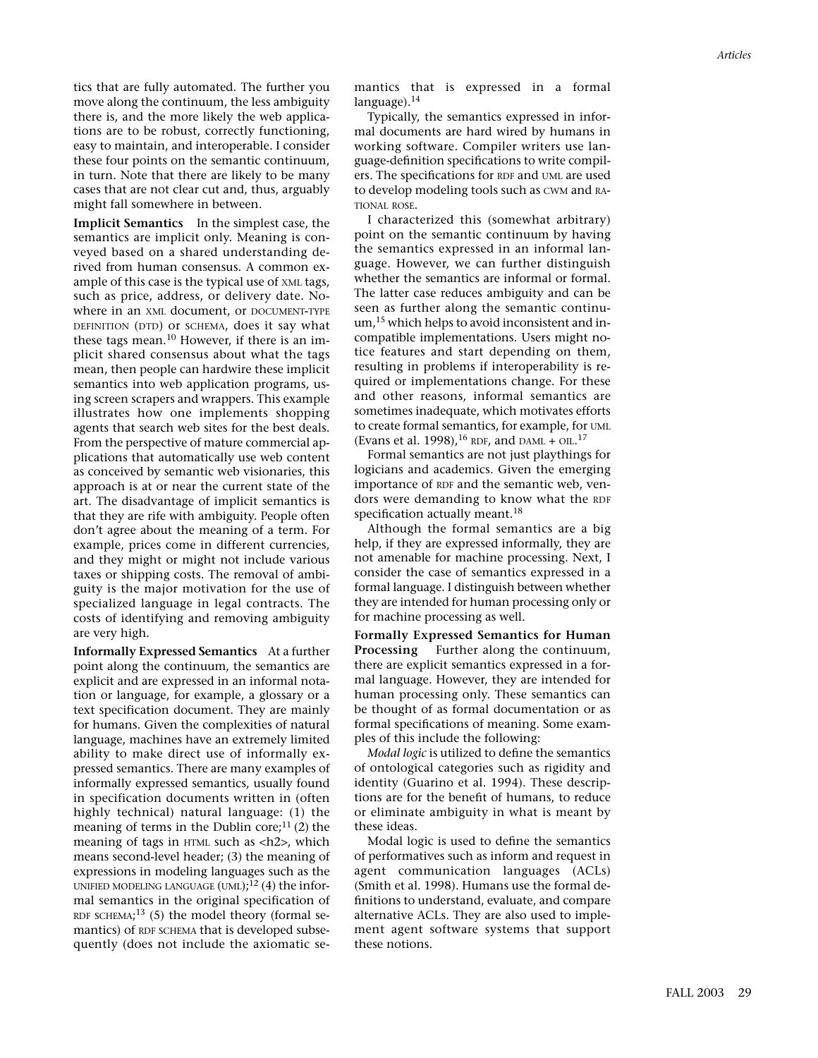tics that are fully automated. The further you move along the continuum, the less ambiguity there is, and the more likely the web applications are to be robust, correctly functioning, easy to maintain, and interoperable. I consider these four points on the semantic continuum, in turn. Note that there are likely to be many cases that are not clear cut and, thus, arguably might fall somewhere in between.

**Implicit Semantics** In the simplest case, the semantics are implicit only. Meaning is conveyed based on a shared understanding derived from human consensus. A common example of this case is the typical use of XML tags, such as price, address, or delivery date. Nowhere in an XML document, or DOCUMENT-TYPE DEFINITION (DTD) or SCHEMA, does it say what these tags mean.10 However, if there is an implicit shared consensus about what the tags mean, then people can hardwire these implicit semantics into web application programs, using screen scrapers and wrappers. This example illustrates how one implements shopping agents that search web sites for the best deals. From the perspective of mature commercial applications that automatically use web content as conceived by semantic web visionaries, this approach is at or near the current state of the art. The disadvantage of implicit semantics is that they are rife with ambiguity. People often don't agree about the meaning of a term. For example, prices come in different currencies, and they might or might not include various taxes or shipping costs. The removal of ambiguity is the major motivation for the use of specialized language in legal contracts. The costs of identifying and removing ambiguity are very high.

**Informally Expressed Semantics** At a further point along the continuum, the semantics are explicit and are expressed in an informal notation or language, for example, a glossary or a text specification document. They are mainly for humans. Given the complexities of natural language, machines have an extremely limited ability to make direct use of informally expressed semantics. There are many examples of informally expressed semantics, usually found in specification documents written in (often highly technical) natural language: (1) the meaning of terms in the Dublin core; $^{11}$  (2) the meaning of tags in HTML such as  $\langle h2 \rangle$ , which means second-level header; (3) the meaning of expressions in modeling languages such as the UNIFIED MODELING LANGUAGE  $(UML);^{12}(4)$  the informal semantics in the original specification of RDF SCHEMA; $^{13}$  (5) the model theory (formal semantics) of RDF SCHEMA that is developed subsequently (does not include the axiomatic semantics that is expressed in a formal language).<sup>14</sup>

Typically, the semantics expressed in informal documents are hard wired by humans in working software. Compiler writers use language-definition specifications to write compilers. The specifications for RDF and UML are used to develop modeling tools such as CWM and RA-TIONAL ROSE.

I characterized this (somewhat arbitrary) point on the semantic continuum by having the semantics expressed in an informal language. However, we can further distinguish whether the semantics are informal or formal. The latter case reduces ambiguity and can be seen as further along the semantic continuum,<sup>15</sup> which helps to avoid inconsistent and incompatible implementations. Users might notice features and start depending on them, resulting in problems if interoperability is required or implementations change. For these and other reasons, informal semantics are sometimes inadequate, which motivates efforts to create formal semantics, for example, for UML (Evans et al. 1998), <sup>16</sup> RDF, and DAML + OIL.<sup>17</sup>

Formal semantics are not just playthings for logicians and academics. Given the emerging importance of RDF and the semantic web, vendors were demanding to know what the RDF specification actually meant.<sup>18</sup>

Although the formal semantics are a big help, if they are expressed informally, they are not amenable for machine processing. Next, I consider the case of semantics expressed in a formal language. I distinguish between whether they are intended for human processing only or for machine processing as well.

**Formally Expressed Semantics for Human Processing** Further along the continuum, there are explicit semantics expressed in a formal language. However, they are intended for human processing only. These semantics can be thought of as formal documentation or as formal specifications of meaning. Some examples of this include the following:

*Modal logic* is utilized to define the semantics of ontological categories such as rigidity and identity (Guarino et al. 1994). These descriptions are for the benefit of humans, to reduce or eliminate ambiguity in what is meant by these ideas.

Modal logic is used to define the semantics of performatives such as inform and request in agent communication languages (ACLs) (Smith et al. 1998). Humans use the formal definitions to understand, evaluate, and compare alternative ACLs. They are also used to implement agent software systems that support these notions.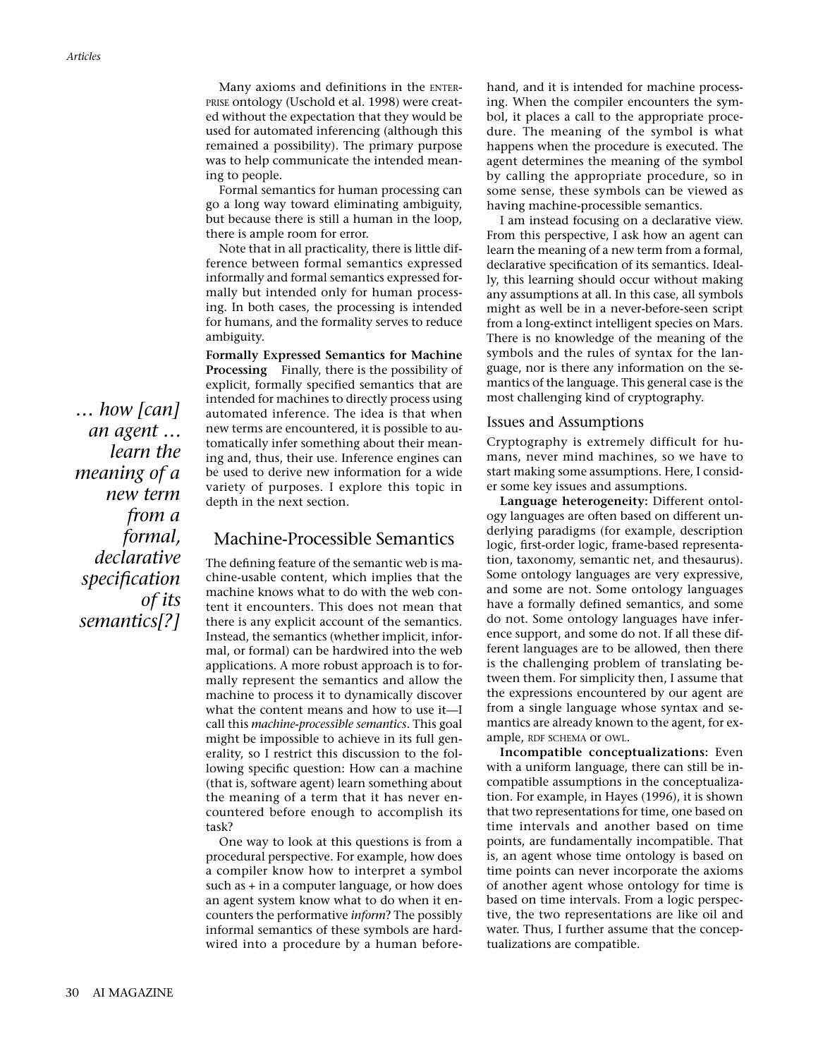Many axioms and definitions in the ENTER-PRISE ontology (Uschold et al. 1998) were created without the expectation that they would be used for automated inferencing (although this remained a possibility). The primary purpose was to help communicate the intended meaning to people.

Formal semantics for human processing can go a long way toward eliminating ambiguity, but because there is still a human in the loop, there is ample room for error.

Note that in all practicality, there is little difference between formal semantics expressed informally and formal semantics expressed formally but intended only for human processing. In both cases, the processing is intended for humans, and the formality serves to reduce ambiguity.

**Formally Expressed Semantics for Machine Processing** Finally, there is the possibility of explicit, formally specified semantics that are intended for machines to directly process using automated inference. The idea is that when new terms are encountered, it is possible to automatically infer something about their meaning and, thus, their use. Inference engines can be used to derive new information for a wide variety of purposes. I explore this topic in depth in the next section.

## Machine-Processible Semantics

The defining feature of the semantic web is machine-usable content, which implies that the machine knows what to do with the web content it encounters. This does not mean that there is any explicit account of the semantics. Instead, the semantics (whether implicit, informal, or formal) can be hardwired into the web applications. A more robust approach is to formally represent the semantics and allow the machine to process it to dynamically discover what the content means and how to use it—I call this *machine-processible semantics.* This goal might be impossible to achieve in its full generality, so I restrict this discussion to the following specific question: How can a machine (that is, software agent) learn something about the meaning of a term that it has never encountered before enough to accomplish its task?

One way to look at this questions is from a procedural perspective. For example, how does a compiler know how to interpret a symbol such as + in a computer language, or how does an agent system know what to do when it encounters the performative *inform*? The possibly informal semantics of these symbols are hardwired into a procedure by a human beforehand, and it is intended for machine processing. When the compiler encounters the symbol, it places a call to the appropriate procedure. The meaning of the symbol is what happens when the procedure is executed. The agent determines the meaning of the symbol by calling the appropriate procedure, so in some sense, these symbols can be viewed as having machine-processible semantics.

I am instead focusing on a declarative view. From this perspective, I ask how an agent can learn the meaning of a new term from a formal, declarative specification of its semantics. Ideally, this learning should occur without making any assumptions at all. In this case, all symbols might as well be in a never-before-seen script from a long-extinct intelligent species on Mars. There is no knowledge of the meaning of the symbols and the rules of syntax for the language, nor is there any information on the semantics of the language. This general case is the most challenging kind of cryptography.

## Issues and Assumptions

Cryptography is extremely difficult for humans, never mind machines, so we have to start making some assumptions. Here, I consider some key issues and assumptions.

**Language heterogeneity:** Different ontology languages are often based on different underlying paradigms (for example, description logic, first-order logic, frame-based representation, taxonomy, semantic net, and thesaurus). Some ontology languages are very expressive, and some are not. Some ontology languages have a formally defined semantics, and some do not. Some ontology languages have inference support, and some do not. If all these different languages are to be allowed, then there is the challenging problem of translating between them. For simplicity then, I assume that the expressions encountered by our agent are from a single language whose syntax and semantics are already known to the agent, for example, RDF SCHEMA or OWL.

**Incompatible conceptualizations:** Even with a uniform language, there can still be incompatible assumptions in the conceptualization. For example, in Hayes (1996), it is shown that two representations for time, one based on time intervals and another based on time points, are fundamentally incompatible. That is, an agent whose time ontology is based on time points can never incorporate the axioms of another agent whose ontology for time is based on time intervals. From a logic perspective, the two representations are like oil and water. Thus, I further assume that the conceptualizations are compatible.

*… how [can] an agent … learn the meaning of a new term from a formal, declarative specification of its semantics[?]*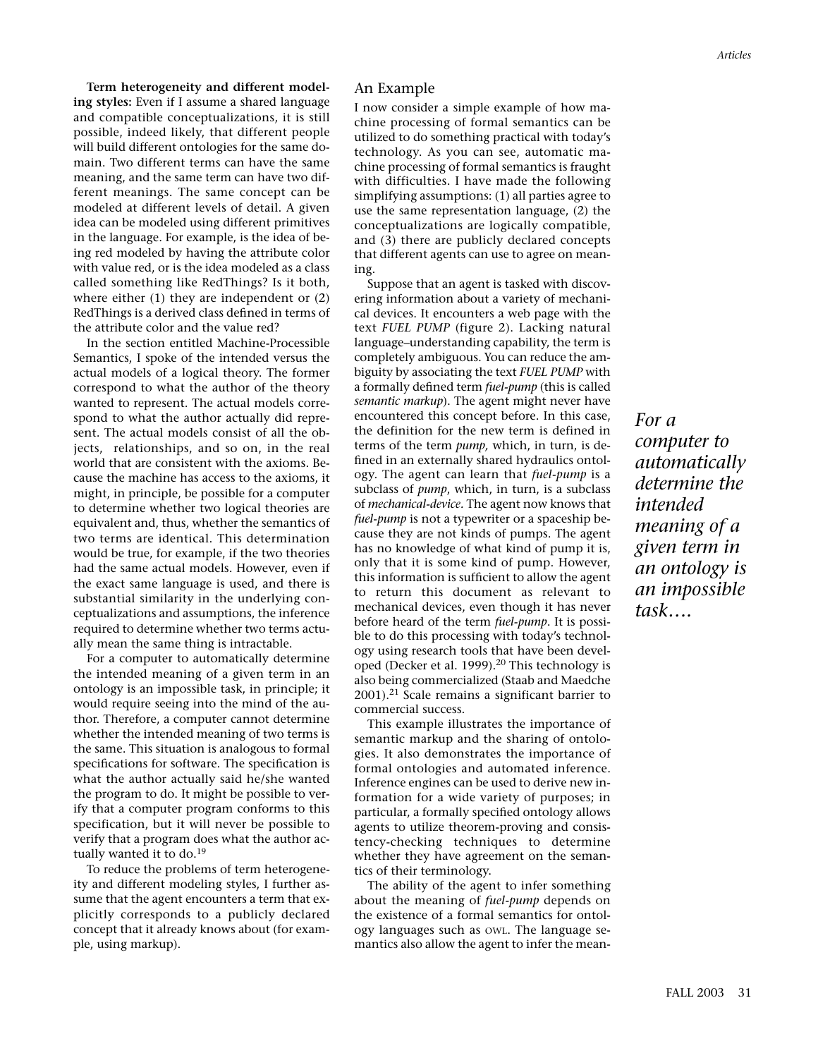**Term heterogeneity and different modeling styles:** Even if I assume a shared language and compatible conceptualizations, it is still possible, indeed likely, that different people will build different ontologies for the same domain. Two different terms can have the same meaning, and the same term can have two different meanings. The same concept can be modeled at different levels of detail. A given idea can be modeled using different primitives in the language. For example, is the idea of being red modeled by having the attribute color with value red, or is the idea modeled as a class called something like RedThings? Is it both, where either (1) they are independent or (2) RedThings is a derived class defined in terms of the attribute color and the value red?

In the section entitled Machine-Processible Semantics, I spoke of the intended versus the actual models of a logical theory. The former correspond to what the author of the theory wanted to represent. The actual models correspond to what the author actually did represent. The actual models consist of all the objects, relationships, and so on, in the real world that are consistent with the axioms. Because the machine has access to the axioms, it might, in principle, be possible for a computer to determine whether two logical theories are equivalent and, thus, whether the semantics of two terms are identical. This determination would be true, for example, if the two theories had the same actual models. However, even if the exact same language is used, and there is substantial similarity in the underlying conceptualizations and assumptions, the inference required to determine whether two terms actually mean the same thing is intractable.

For a computer to automatically determine the intended meaning of a given term in an ontology is an impossible task, in principle; it would require seeing into the mind of the author. Therefore, a computer cannot determine whether the intended meaning of two terms is the same. This situation is analogous to formal specifications for software. The specification is what the author actually said he/she wanted the program to do. It might be possible to verify that a computer program conforms to this specification, but it will never be possible to verify that a program does what the author actually wanted it to do.<sup>19</sup>

To reduce the problems of term heterogeneity and different modeling styles, I further assume that the agent encounters a term that explicitly corresponds to a publicly declared concept that it already knows about (for example, using markup).

### An Example

I now consider a simple example of how machine processing of formal semantics can be utilized to do something practical with today's technology. As you can see, automatic machine processing of formal semantics is fraught with difficulties. I have made the following simplifying assumptions: (1) all parties agree to use the same representation language, (2) the conceptualizations are logically compatible, and (3) there are publicly declared concepts that different agents can use to agree on meaning.

Suppose that an agent is tasked with discovering information about a variety of mechanical devices. It encounters a web page with the text *FUEL PUMP* (figure 2). Lacking natural language–understanding capability, the term is completely ambiguous. You can reduce the ambiguity by associating the text *FUEL PUMP* with a formally defined term *fuel-pump* (this is called *semantic markup*). The agent might never have encountered this concept before. In this case, the definition for the new term is defined in terms of the term *pump,* which, in turn, is defined in an externally shared hydraulics ontology. The agent can learn that *fuel-pump* is a subclass of *pump*, which, in turn, is a subclass of *mechanical-device.* The agent now knows that *fuel-pump* is not a typewriter or a spaceship because they are not kinds of pumps. The agent has no knowledge of what kind of pump it is, only that it is some kind of pump. However, this information is sufficient to allow the agent to return this document as relevant to mechanical devices, even though it has never before heard of the term *fuel-pump*. It is possible to do this processing with today's technology using research tools that have been developed (Decker et al. 1999).<sup>20</sup> This technology is also being commercialized (Staab and Maedche 2001).<sup>21</sup> Scale remains a significant barrier to commercial success.

This example illustrates the importance of semantic markup and the sharing of ontologies. It also demonstrates the importance of formal ontologies and automated inference. Inference engines can be used to derive new information for a wide variety of purposes; in particular, a formally specified ontology allows agents to utilize theorem-proving and consistency-checking techniques to determine whether they have agreement on the semantics of their terminology.

The ability of the agent to infer something about the meaning of *fuel-pump* depends on the existence of a formal semantics for ontology languages such as OWL. The language semantics also allow the agent to infer the mean*For a computer to automatically determine the intended meaning of a given term in an ontology is an impossible task….*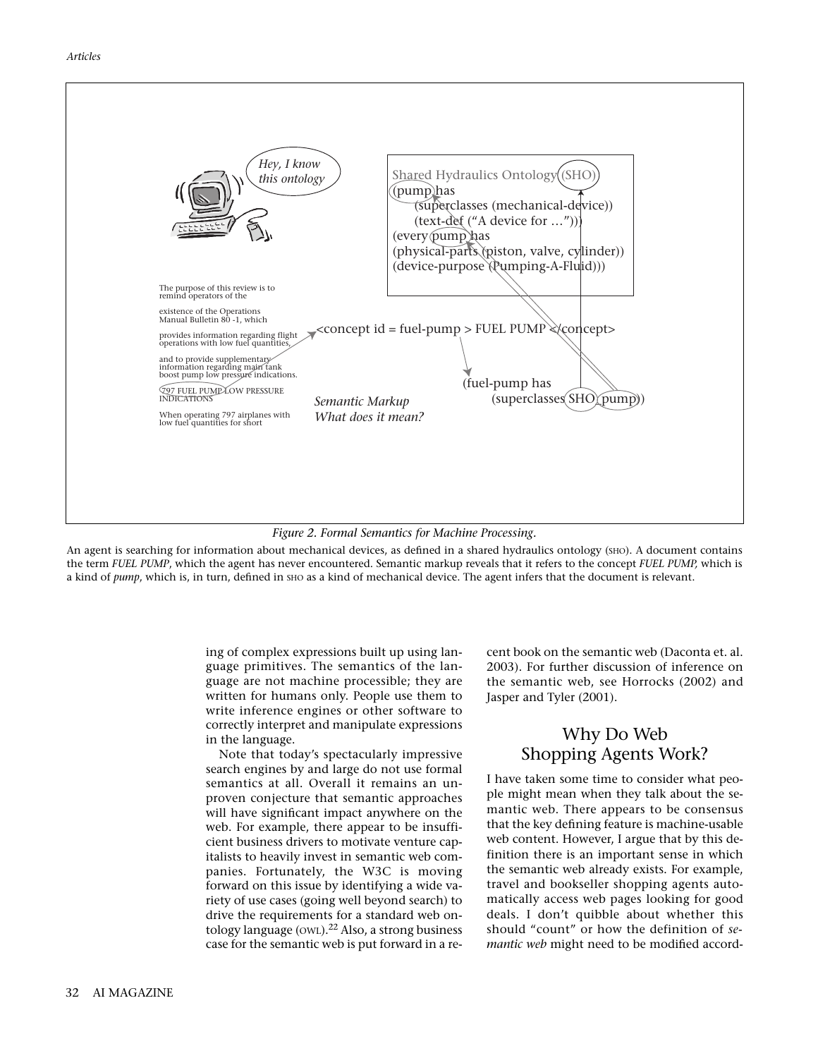



An agent is searching for information about mechanical devices, as defined in a shared hydraulics ontology (sHO). A document contains the term *FUEL PUMP*, which the agent has never encountered. Semantic markup reveals that it refers to the concept *FUEL PUMP,* which is a kind of *pump*, which is, in turn, defined in sho as a kind of mechanical device. The agent infers that the document is relevant.

> ing of complex expressions built up using language primitives. The semantics of the language are not machine processible; they are written for humans only. People use them to write inference engines or other software to correctly interpret and manipulate expressions in the language.

> Note that today's spectacularly impressive search engines by and large do not use formal semantics at all. Overall it remains an unproven conjecture that semantic approaches will have significant impact anywhere on the web. For example, there appear to be insufficient business drivers to motivate venture capitalists to heavily invest in semantic web companies. Fortunately, the W3C is moving forward on this issue by identifying a wide variety of use cases (going well beyond search) to drive the requirements for a standard web ontology language (OWL).<sup>22</sup> Also, a strong business case for the semantic web is put forward in a re

cent book on the semantic web (Daconta et. al. 2003). For further discussion of inference on the semantic web, see Horrocks (2002) and Jasper and Tyler (2001).

# Why Do Web Shopping Agents Work?

I have taken some time to consider what people might mean when they talk about the semantic web. There appears to be consensus that the key defining feature is machine-usable web content. However, I argue that by this definition there is an important sense in which the semantic web already exists. For example, travel and bookseller shopping agents automatically access web pages looking for good deals. I don't quibble about whether this should "count" or how the definition of *semantic web* might need to be modified accord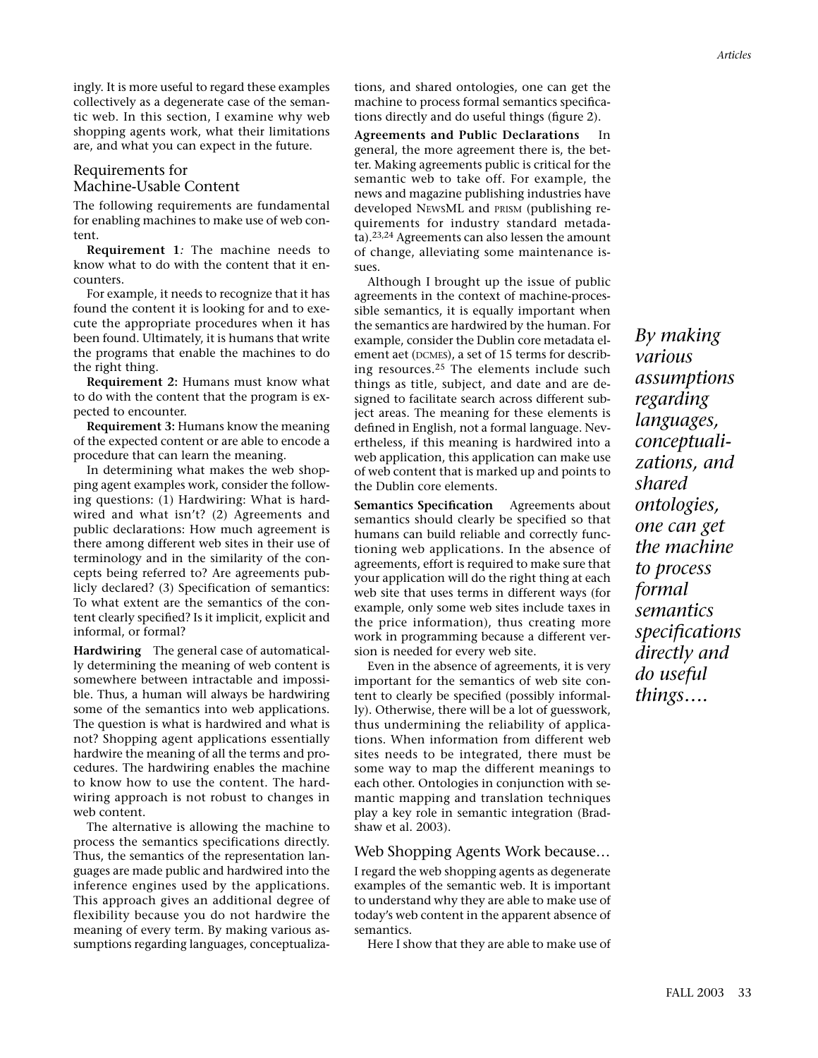ingly. It is more useful to regard these examples collectively as a degenerate case of the semantic web. In this section, I examine why web shopping agents work, what their limitations are, and what you can expect in the future.

## Requirements for Machine-Usable Content

The following requirements are fundamental for enabling machines to make use of web content.

**Requirement 1***:* The machine needs to know what to do with the content that it encounters.

For example, it needs to recognize that it has found the content it is looking for and to execute the appropriate procedures when it has been found. Ultimately, it is humans that write the programs that enable the machines to do the right thing.

**Requirement 2:** Humans must know what to do with the content that the program is expected to encounter.

**Requirement 3:** Humans know the meaning of the expected content or are able to encode a procedure that can learn the meaning.

In determining what makes the web shopping agent examples work, consider the following questions: (1) Hardwiring: What is hardwired and what isn't? (2) Agreements and public declarations: How much agreement is there among different web sites in their use of terminology and in the similarity of the concepts being referred to? Are agreements publicly declared? (3) Specification of semantics: To what extent are the semantics of the content clearly specified? Is it implicit, explicit and informal, or formal?

**Hardwiring** The general case of automatically determining the meaning of web content is somewhere between intractable and impossible. Thus, a human will always be hardwiring some of the semantics into web applications. The question is what is hardwired and what is not? Shopping agent applications essentially hardwire the meaning of all the terms and procedures. The hardwiring enables the machine to know how to use the content. The hardwiring approach is not robust to changes in web content.

The alternative is allowing the machine to process the semantics specifications directly. Thus, the semantics of the representation languages are made public and hardwired into the inference engines used by the applications. This approach gives an additional degree of flexibility because you do not hardwire the meaning of every term. By making various assumptions regarding languages, conceptualizations, and shared ontologies, one can get the machine to process formal semantics specifications directly and do useful things (figure 2).

**Agreements and Public Declarations** In general, the more agreement there is, the better. Making agreements public is critical for the semantic web to take off. For example, the news and magazine publishing industries have developed NEWSML and PRISM (publishing requirements for industry standard metadata).23,24 Agreements can also lessen the amount of change, alleviating some maintenance issues.

Although I brought up the issue of public agreements in the context of machine-processible semantics, it is equally important when the semantics are hardwired by the human. For example, consider the Dublin core metadata element aet (DCMES), a set of 15 terms for describing resources.<sup>25</sup> The elements include such things as title, subject, and date and are designed to facilitate search across different subject areas. The meaning for these elements is defined in English, not a formal language. Nevertheless, if this meaning is hardwired into a web application, this application can make use of web content that is marked up and points to the Dublin core elements.

**Semantics Specification** Agreements about semantics should clearly be specified so that humans can build reliable and correctly functioning web applications. In the absence of agreements, effort is required to make sure that your application will do the right thing at each web site that uses terms in different ways (for example, only some web sites include taxes in the price information), thus creating more work in programming because a different version is needed for every web site.

Even in the absence of agreements, it is very important for the semantics of web site content to clearly be specified (possibly informally). Otherwise, there will be a lot of guesswork, thus undermining the reliability of applications. When information from different web sites needs to be integrated, there must be some way to map the different meanings to each other. Ontologies in conjunction with semantic mapping and translation techniques play a key role in semantic integration (Bradshaw et al. 2003).

## Web Shopping Agents Work because…

I regard the web shopping agents as degenerate examples of the semantic web. It is important to understand why they are able to make use of today's web content in the apparent absence of semantics.

Here I show that they are able to make use of

*By making various assumptions regarding languages, conceptualizations, and shared ontologies, one can get the machine to process formal semantics specifications directly and do useful things….*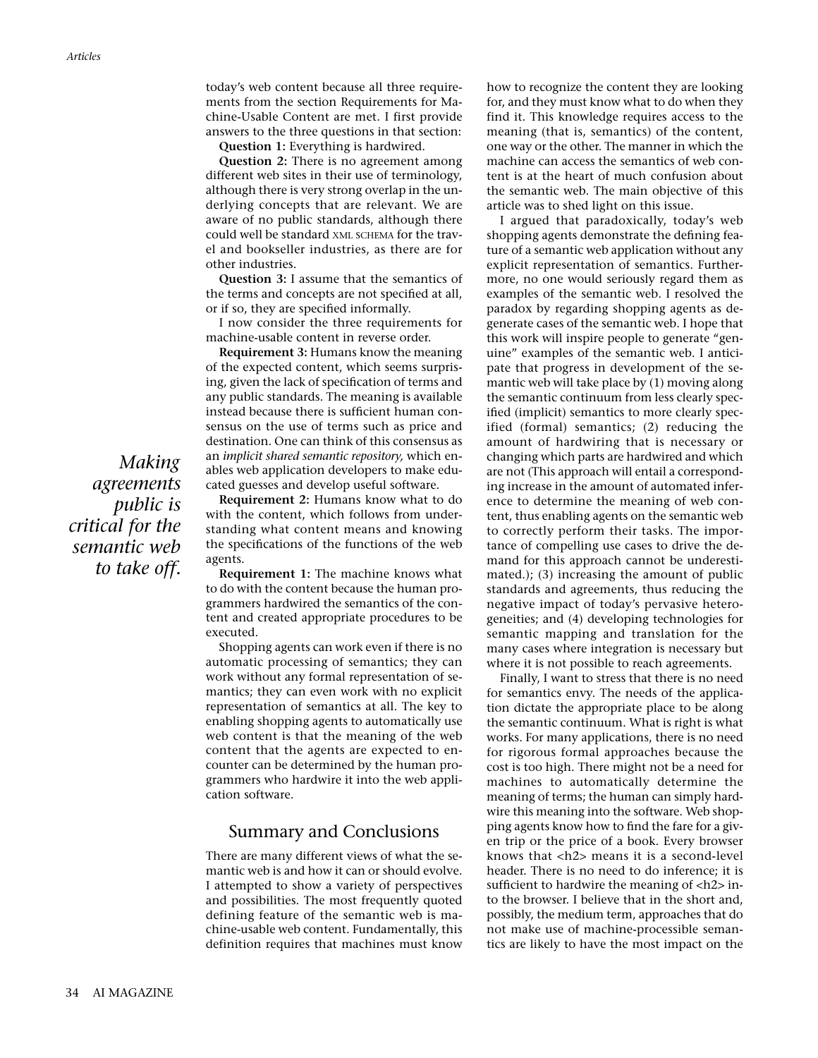today's web content because all three requirements from the section Requirements for Machine-Usable Content are met. I first provide answers to the three questions in that section:

**Question 1:** Everything is hardwired.

**Question 2:** There is no agreement among different web sites in their use of terminology, although there is very strong overlap in the underlying concepts that are relevant. We are aware of no public standards, although there could well be standard XML SCHEMA for the travel and bookseller industries, as there are for other industries.

**Question 3:** I assume that the semantics of the terms and concepts are not specified at all, or if so, they are specified informally.

I now consider the three requirements for machine-usable content in reverse order.

**Requirement 3:** Humans know the meaning of the expected content, which seems surprising, given the lack of specification of terms and any public standards. The meaning is available instead because there is sufficient human consensus on the use of terms such as price and destination. One can think of this consensus as an *implicit shared semantic repository,* which enables web application developers to make educated guesses and develop useful software.

**Requirement 2:** Humans know what to do with the content, which follows from understanding what content means and knowing the specifications of the functions of the web agents.

**Requirement 1:** The machine knows what to do with the content because the human programmers hardwired the semantics of the content and created appropriate procedures to be executed.

Shopping agents can work even if there is no automatic processing of semantics; they can work without any formal representation of semantics; they can even work with no explicit representation of semantics at all. The key to enabling shopping agents to automatically use web content is that the meaning of the web content that the agents are expected to encounter can be determined by the human programmers who hardwire it into the web application software.

## Summary and Conclusions

There are many different views of what the semantic web is and how it can or should evolve. I attempted to show a variety of perspectives and possibilities. The most frequently quoted defining feature of the semantic web is machine-usable web content. Fundamentally, this definition requires that machines must know

how to recognize the content they are looking for, and they must know what to do when they find it. This knowledge requires access to the meaning (that is, semantics) of the content, one way or the other. The manner in which the machine can access the semantics of web content is at the heart of much confusion about the semantic web. The main objective of this article was to shed light on this issue.

I argued that paradoxically, today's web shopping agents demonstrate the defining feature of a semantic web application without any explicit representation of semantics. Furthermore, no one would seriously regard them as examples of the semantic web. I resolved the paradox by regarding shopping agents as degenerate cases of the semantic web. I hope that this work will inspire people to generate "genuine" examples of the semantic web. I anticipate that progress in development of the semantic web will take place by (1) moving along the semantic continuum from less clearly specified (implicit) semantics to more clearly specified (formal) semantics; (2) reducing the amount of hardwiring that is necessary or changing which parts are hardwired and which are not (This approach will entail a corresponding increase in the amount of automated inference to determine the meaning of web content, thus enabling agents on the semantic web to correctly perform their tasks. The importance of compelling use cases to drive the demand for this approach cannot be underestimated.); (3) increasing the amount of public standards and agreements, thus reducing the negative impact of today's pervasive heterogeneities; and (4) developing technologies for semantic mapping and translation for the many cases where integration is necessary but where it is not possible to reach agreements.

Finally, I want to stress that there is no need for semantics envy. The needs of the application dictate the appropriate place to be along the semantic continuum. What is right is what works. For many applications, there is no need for rigorous formal approaches because the cost is too high. There might not be a need for machines to automatically determine the meaning of terms; the human can simply hardwire this meaning into the software. Web shopping agents know how to find the fare for a given trip or the price of a book. Every browser knows that <h2> means it is a second-level header. There is no need to do inference; it is sufficient to hardwire the meaning of  $\langle h2 \rangle$  into the browser. I believe that in the short and, possibly, the medium term, approaches that do not make use of machine-processible semantics are likely to have the most impact on the

*Making agreements public is critical for the semantic web to take off.*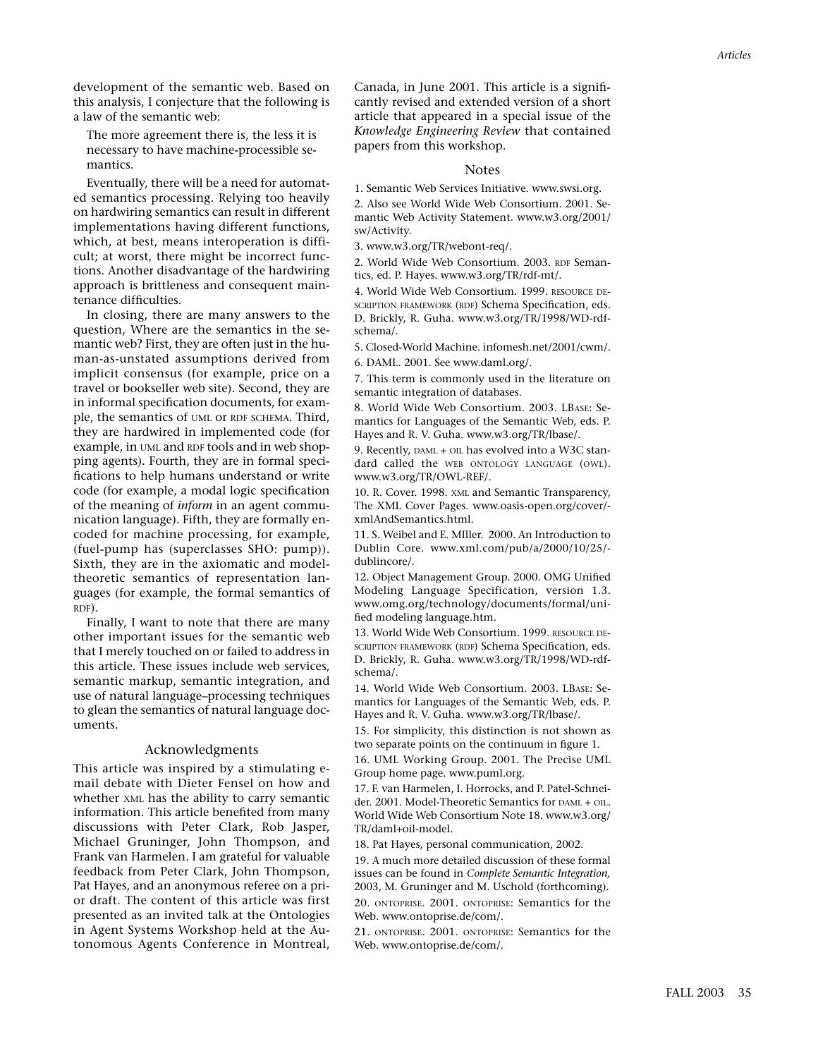development of the semantic web. Based on this analysis, I conjecture that the following is a law of the semantic web:

The more agreement there is, the less it is necessary to have machine-processible semantics.

Eventually, there will be a need for automated semantics processing. Relying too heavily on hardwiring semantics can result in different implementations having different functions, which, at best, means interoperation is difficult; at worst, there might be incorrect functions. Another disadvantage of the hardwiring approach is brittleness and consequent maintenance difficulties.

In closing, there are many answers to the question, Where are the semantics in the semantic web? First, they are often just in the human-as-unstated assumptions derived from implicit consensus (for example, price on a travel or bookseller web site). Second, they are in informal specification documents, for example, the semantics of UML or RDF SCHEMA. Third, they are hardwired in implemented code (for example, in UML and RDF tools and in web shopping agents). Fourth, they are in formal specifications to help humans understand or write code (for example, a modal logic specification of the meaning of *inform* in an agent communication language). Fifth, they are formally encoded for machine processing, for example, (fuel-pump has (superclasses SHO: pump)). Sixth, they are in the axiomatic and modeltheoretic semantics of representation languages (for example, the formal semantics of RDF).

Finally, I want to note that there are many other important issues for the semantic web that I merely touched on or failed to address in this article. These issues include web services, semantic markup, semantic integration, and use of natural language–processing techniques to glean the semantics of natural language documents.

#### Acknowledgments

This article was inspired by a stimulating email debate with Dieter Fensel on how and whether XML has the ability to carry semantic information. This article benefited from many discussions with Peter Clark, Rob Jasper, Michael Gruninger, John Thompson, and Frank van Harmelen. I am grateful for valuable feedback from Peter Clark, John Thompson, Pat Hayes, and an anonymous referee on a prior draft. The content of this article was first presented as an invited talk at the Ontologies in Agent Systems Workshop held at the Autonomous Agents Conference in Montreal,

Canada, in June 2001. This article is a significantly revised and extended version of a short article that appeared in a special issue of the *Knowledge Engineering Review* that contained papers from this workshop.

#### **Notes**

1. Semantic Web Services Initiative. www.swsi.org. 2. Also see World Wide Web Consortium. 2001. Semantic Web Activity Statement. www.w3.org/2001/ sw/Activity.

3. www.w3.org/TR/webont-req/.

2. World Wide Web Consortium. 2003. RDF Semantics, ed. P. Hayes. www.w3.org/TR/rdf-mt/.

4. World Wide Web Consortium. 1999. RESOURCE DE-SCRIPTION FRAMEWORK (RDF) Schema Specification, eds. D. Brickly, R. Guha. www.w3.org/TR/1998/WD-rdfschema/.

5. Closed-World Machine. infomesh.net/2001/cwm/.

6. DAML. 2001. See www.daml.org/.

7. This term is commonly used in the literature on semantic integration of databases.

8. World Wide Web Consortium. 2003. LBASE: Semantics for Languages of the Semantic Web, eds. P. Hayes and R. V. Guha. www.w3.org/TR/lbase/.

9. Recently, DAML + OIL has evolved into a W3C standard called the WEB ONTOLOGY LANGUAGE (OWL). www.w3.org/TR/OWL-REF/.

10. R. Cover. 1998. XML and Semantic Transparency, The XML Cover Pages. www.oasis-open.org/cover/ xmlAndSemantics.html.

11. S. Weibel and E. MIller. 2000. An Introduction to Dublin Core. www.xml.com/pub/a/2000/10/25/ dublincore/.

12. Object Management Group. 2000. OMG Unified Modeling Language Specification, version 1.3. www.omg.org/technology/documents/formal/unified modeling language.htm.

13. World Wide Web Consortium. 1999. RESOURCE DE-SCRIPTION FRAMEWORK (RDF) Schema Specification, eds. D. Brickly, R. Guha. www.w3.org/TR/1998/WD-rdfschema/.

14. World Wide Web Consortium. 2003. LBASE: Semantics for Languages of the Semantic Web, eds. P. Hayes and R. V. Guha. www.w3.org/TR/lbase/.

15. For simplicity, this distinction is not shown as two separate points on the continuum in figure 1.

16. UML Working Group. 2001. The Precise UML Group home page. www.puml.org.

17. F. van Harmelen, I. Horrocks, and P. Patel-Schneider. 2001. Model-Theoretic Semantics for DAML + OIL. World Wide Web Consortium Note 18. www.w3.org/ TR/daml+oil-model.

18. Pat Hayes, personal communication, 2002.

19. A much more detailed discussion of these formal issues can be found in *Complete Semantic Integration,* 2003, M. Gruninger and M. Uschold (forthcoming). 20. ONTOPRISE. 2001. ONTOPRISE: Semantics for the Web. www.ontoprise.de/com/.

21. ONTOPRISE. 2001. ONTOPRISE: Semantics for the Web. www.ontoprise.de/com/.